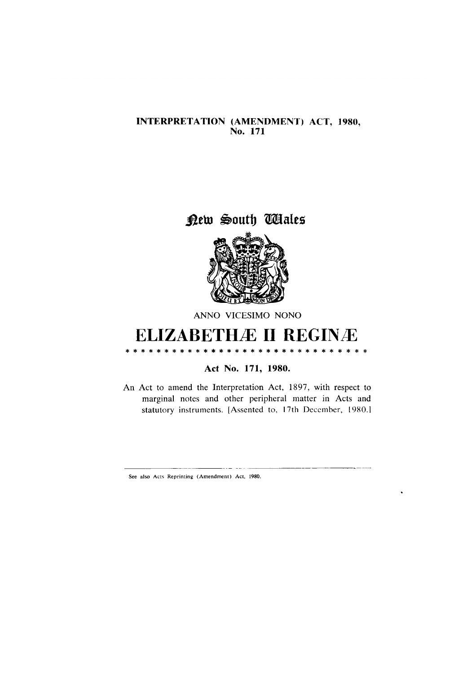## INTERPRETATION (AMENDMENT) ACT, 1980,<br>No. 171

## New South Wales



ANNO VICESIMO NONO

## **ELIZABETHÆ II REGINÆ**

Act No. 171, 1980.

An Act to amend the Interpretation Act, 1897, with respect to marginal notes and other peripheral matter in Acts and statutory instruments. [Assented to, 17th December, 1980.]

See also Acts Reprinting (Amendment) Act, 1980.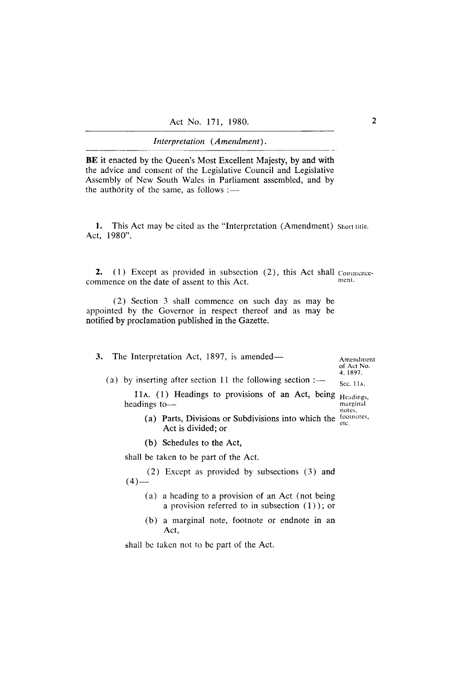Interpretation (Amendment).

BE it enacted by the Queen's Most Excellent Majesty, by and with the advice and consent of the Legislative Council and Legislative Assembly of New South Wales in Parliament assembled, and by the authority of the same, as follows :-

1. This Act may be cited as the "Interpretation (Amendment) Short title. Act, 1980".

2. (1) Except as provided in subsection (2), this Act shall Commencement. commence on the date of assent to this Act.

(2) Section 3 shall commence on such day as may be appointed by the Governor in respect thereof and as may be notified by proclamation published in the Gazette.

3. The Interpretation Act, 1897, is amended—

Amendment of Act No. 4, 1897.

(a) by inserting after section 11 the following section  $:$ — Sec. 11A. 11A. (1) Headings to provisions of an Act, being Headings,

headings tomarginal notes,

- (a) Parts, Divisions or Subdivisions into which the  $\frac{10000}{100}$ etc. Act is divided; or
- (b) Schedules to the Act,

shall be taken to be part of the Act.

(2) Except as provided by subsections (3) and  $(4)$  —

- (a) a heading to a provision of an Act (not being a provision referred to in subsection  $(1)$ ; or
- (b) a marginal note, footnote or endnote in an Act,

shall be taken not to be part of the Act.